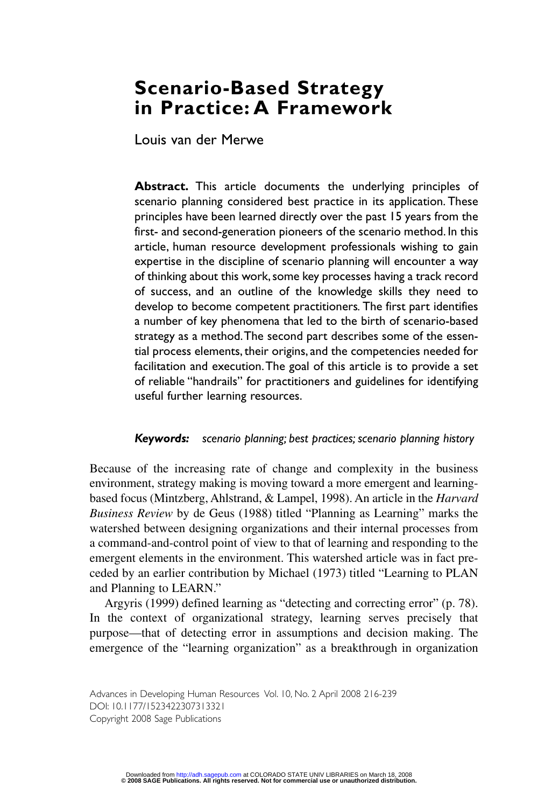# **Scenario-Based Strategy in Practice: A Framework**

Louis van der Merwe

**Abstract.** This article documents the underlying principles of scenario planning considered best practice in its application. These principles have been learned directly over the past 15 years from the first- and second-generation pioneers of the scenario method. In this article, human resource development professionals wishing to gain expertise in the discipline of scenario planning will encounter a way of thinking about this work, some key processes having a track record of success, and an outline of the knowledge skills they need to develop to become competent practitioners*.* The first part identifies a number of key phenomena that led to the birth of scenario-based strategy as a method.The second part describes some of the essential process elements, their origins, and the competencies needed for facilitation and execution.The goal of this article is to provide a set of reliable "handrails" for practitioners and guidelines for identifying useful further learning resources.

### *Keywords: scenario planning; best practices; scenario planning history*

Because of the increasing rate of change and complexity in the business environment, strategy making is moving toward a more emergent and learningbased focus (Mintzberg, Ahlstrand, & Lampel, 1998). An article in the *Harvard Business Review* by de Geus (1988) titled "Planning as Learning" marks the watershed between designing organizations and their internal processes from a command-and-control point of view to that of learning and responding to the emergent elements in the environment. This watershed article was in fact preceded by an earlier contribution by Michael (1973) titled "Learning to PLAN and Planning to LEARN."

Argyris (1999) defined learning as "detecting and correcting error" (p. 78). In the context of organizational strategy, learning serves precisely that purpose—that of detecting error in assumptions and decision making. The emergence of the "learning organization" as a breakthrough in organization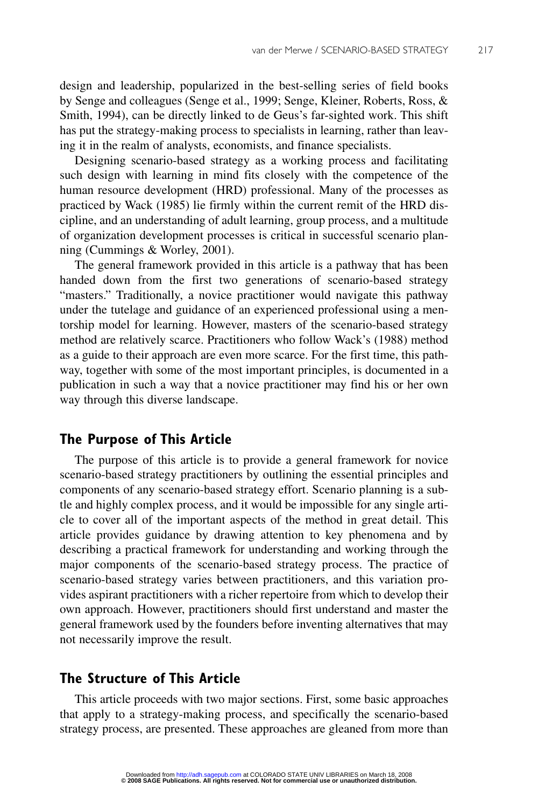design and leadership, popularized in the best-selling series of field books by Senge and colleagues (Senge et al., 1999; Senge, Kleiner, Roberts, Ross, & Smith, 1994), can be directly linked to de Geus's far-sighted work. This shift has put the strategy-making process to specialists in learning, rather than leaving it in the realm of analysts, economists, and finance specialists.

Designing scenario-based strategy as a working process and facilitating such design with learning in mind fits closely with the competence of the human resource development (HRD) professional. Many of the processes as practiced by Wack (1985) lie firmly within the current remit of the HRD discipline, and an understanding of adult learning, group process, and a multitude of organization development processes is critical in successful scenario planning (Cummings & Worley, 2001).

The general framework provided in this article is a pathway that has been handed down from the first two generations of scenario-based strategy "masters." Traditionally, a novice practitioner would navigate this pathway under the tutelage and guidance of an experienced professional using a mentorship model for learning. However, masters of the scenario-based strategy method are relatively scarce. Practitioners who follow Wack's (1988) method as a guide to their approach are even more scarce. For the first time, this pathway, together with some of the most important principles, is documented in a publication in such a way that a novice practitioner may find his or her own way through this diverse landscape.

### **The Purpose of This Article**

The purpose of this article is to provide a general framework for novice scenario-based strategy practitioners by outlining the essential principles and components of any scenario-based strategy effort. Scenario planning is a subtle and highly complex process, and it would be impossible for any single article to cover all of the important aspects of the method in great detail. This article provides guidance by drawing attention to key phenomena and by describing a practical framework for understanding and working through the major components of the scenario-based strategy process. The practice of scenario-based strategy varies between practitioners, and this variation provides aspirant practitioners with a richer repertoire from which to develop their own approach. However, practitioners should first understand and master the general framework used by the founders before inventing alternatives that may not necessarily improve the result.

# **The Structure of This Article**

This article proceeds with two major sections. First, some basic approaches that apply to a strategy-making process, and specifically the scenario-based strategy process, are presented. These approaches are gleaned from more than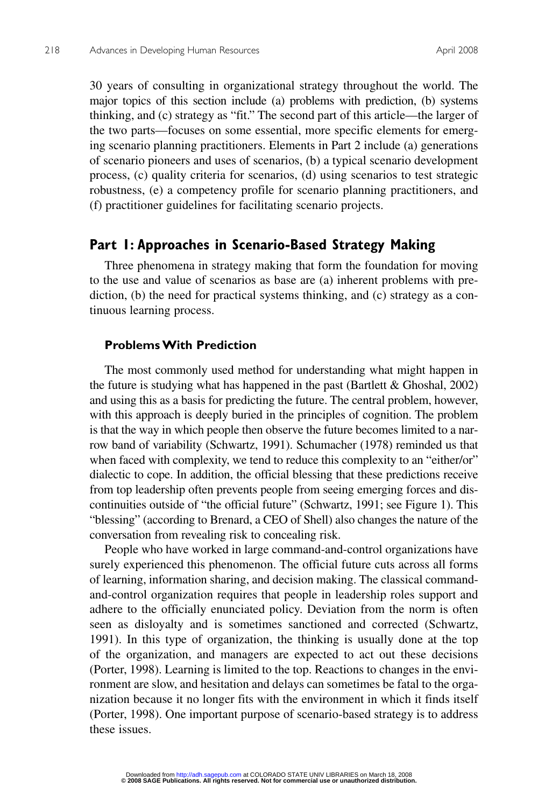30 years of consulting in organizational strategy throughout the world. The major topics of this section include (a) problems with prediction, (b) systems thinking, and (c) strategy as "fit." The second part of this article—the larger of the two parts—focuses on some essential, more specific elements for emerging scenario planning practitioners. Elements in Part 2 include (a) generations of scenario pioneers and uses of scenarios, (b) a typical scenario development process, (c) quality criteria for scenarios, (d) using scenarios to test strategic robustness, (e) a competency profile for scenario planning practitioners, and (f) practitioner guidelines for facilitating scenario projects.

### **Part 1: Approaches in Scenario-Based Strategy Making**

Three phenomena in strategy making that form the foundation for moving to the use and value of scenarios as base are (a) inherent problems with prediction, (b) the need for practical systems thinking, and (c) strategy as a continuous learning process.

### **Problems With Prediction**

The most commonly used method for understanding what might happen in the future is studying what has happened in the past (Bartlett  $&$  Ghoshal, 2002) and using this as a basis for predicting the future. The central problem, however, with this approach is deeply buried in the principles of cognition. The problem is that the way in which people then observe the future becomes limited to a narrow band of variability (Schwartz, 1991). Schumacher (1978) reminded us that when faced with complexity, we tend to reduce this complexity to an "either/or" dialectic to cope. In addition, the official blessing that these predictions receive from top leadership often prevents people from seeing emerging forces and discontinuities outside of "the official future" (Schwartz, 1991; see Figure 1). This "blessing" (according to Brenard, a CEO of Shell) also changes the nature of the conversation from revealing risk to concealing risk.

People who have worked in large command-and-control organizations have surely experienced this phenomenon. The official future cuts across all forms of learning, information sharing, and decision making. The classical commandand-control organization requires that people in leadership roles support and adhere to the officially enunciated policy. Deviation from the norm is often seen as disloyalty and is sometimes sanctioned and corrected (Schwartz, 1991). In this type of organization, the thinking is usually done at the top of the organization, and managers are expected to act out these decisions (Porter, 1998). Learning is limited to the top. Reactions to changes in the environment are slow, and hesitation and delays can sometimes be fatal to the organization because it no longer fits with the environment in which it finds itself (Porter, 1998). One important purpose of scenario-based strategy is to address these issues.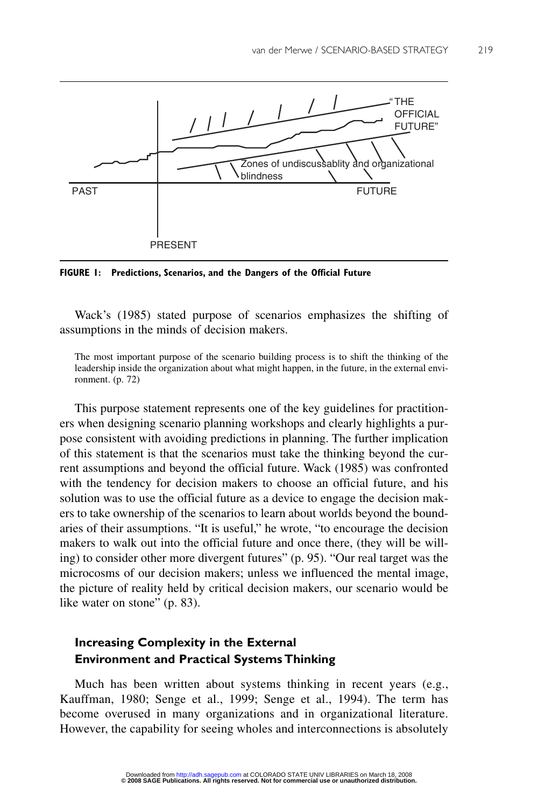

**FIGURE 1: Predictions, Scenarios, and the Dangers of the Official Future**

Wack's (1985) stated purpose of scenarios emphasizes the shifting of assumptions in the minds of decision makers.

The most important purpose of the scenario building process is to shift the thinking of the leadership inside the organization about what might happen, in the future, in the external environment. (p. 72)

This purpose statement represents one of the key guidelines for practitioners when designing scenario planning workshops and clearly highlights a purpose consistent with avoiding predictions in planning. The further implication of this statement is that the scenarios must take the thinking beyond the current assumptions and beyond the official future. Wack (1985) was confronted with the tendency for decision makers to choose an official future, and his solution was to use the official future as a device to engage the decision makers to take ownership of the scenarios to learn about worlds beyond the boundaries of their assumptions. "It is useful," he wrote, "to encourage the decision makers to walk out into the official future and once there, (they will be willing) to consider other more divergent futures" (p. 95). "Our real target was the microcosms of our decision makers; unless we influenced the mental image, the picture of reality held by critical decision makers, our scenario would be like water on stone" (p. 83).

### **Increasing Complexity in the External Environment and Practical Systems Thinking**

Much has been written about systems thinking in recent years (e.g., Kauffman, 1980; Senge et al., 1999; Senge et al., 1994). The term has become overused in many organizations and in organizational literature. However, the capability for seeing wholes and interconnections is absolutely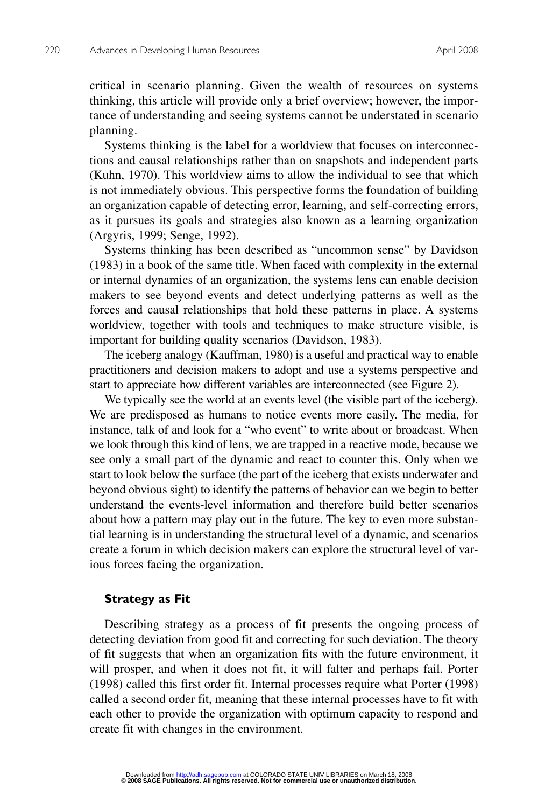critical in scenario planning. Given the wealth of resources on systems thinking, this article will provide only a brief overview; however, the importance of understanding and seeing systems cannot be understated in scenario planning.

Systems thinking is the label for a worldview that focuses on interconnections and causal relationships rather than on snapshots and independent parts (Kuhn, 1970). This worldview aims to allow the individual to see that which is not immediately obvious. This perspective forms the foundation of building an organization capable of detecting error, learning, and self-correcting errors, as it pursues its goals and strategies also known as a learning organization (Argyris, 1999; Senge, 1992).

Systems thinking has been described as "uncommon sense" by Davidson (1983) in a book of the same title. When faced with complexity in the external or internal dynamics of an organization, the systems lens can enable decision makers to see beyond events and detect underlying patterns as well as the forces and causal relationships that hold these patterns in place. A systems worldview, together with tools and techniques to make structure visible, is important for building quality scenarios (Davidson, 1983).

The iceberg analogy (Kauffman, 1980) is a useful and practical way to enable practitioners and decision makers to adopt and use a systems perspective and start to appreciate how different variables are interconnected (see Figure 2).

We typically see the world at an events level (the visible part of the iceberg). We are predisposed as humans to notice events more easily. The media, for instance, talk of and look for a "who event" to write about or broadcast. When we look through this kind of lens, we are trapped in a reactive mode, because we see only a small part of the dynamic and react to counter this. Only when we start to look below the surface (the part of the iceberg that exists underwater and beyond obvious sight) to identify the patterns of behavior can we begin to better understand the events-level information and therefore build better scenarios about how a pattern may play out in the future. The key to even more substantial learning is in understanding the structural level of a dynamic, and scenarios create a forum in which decision makers can explore the structural level of various forces facing the organization.

### **Strategy as Fit**

Describing strategy as a process of fit presents the ongoing process of detecting deviation from good fit and correcting for such deviation. The theory of fit suggests that when an organization fits with the future environment, it will prosper, and when it does not fit, it will falter and perhaps fail. Porter (1998) called this first order fit. Internal processes require what Porter (1998) called a second order fit, meaning that these internal processes have to fit with each other to provide the organization with optimum capacity to respond and create fit with changes in the environment.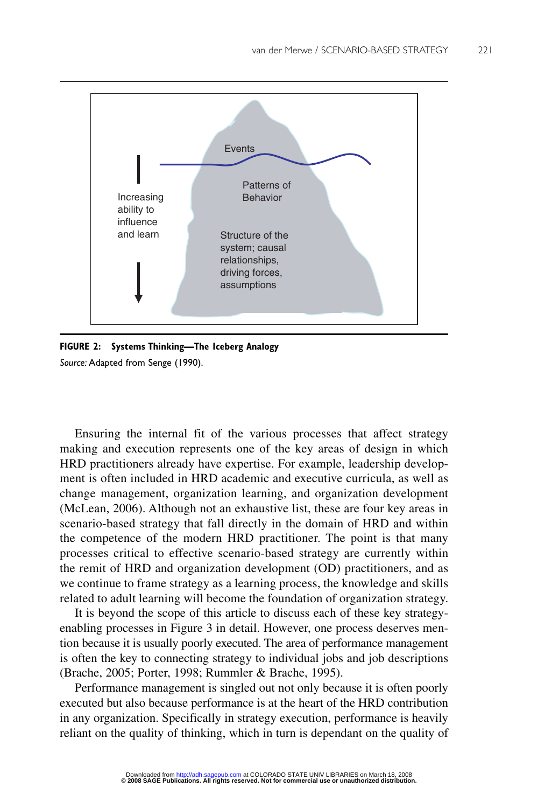

**FIGURE 2: Systems Thinking—The Iceberg Analogy** *Source:* Adapted from Senge (1990).

Ensuring the internal fit of the various processes that affect strategy making and execution represents one of the key areas of design in which HRD practitioners already have expertise. For example, leadership development is often included in HRD academic and executive curricula, as well as change management, organization learning, and organization development (McLean, 2006). Although not an exhaustive list, these are four key areas in scenario-based strategy that fall directly in the domain of HRD and within the competence of the modern HRD practitioner. The point is that many processes critical to effective scenario-based strategy are currently within the remit of HRD and organization development (OD) practitioners, and as we continue to frame strategy as a learning process, the knowledge and skills related to adult learning will become the foundation of organization strategy.

It is beyond the scope of this article to discuss each of these key strategyenabling processes in Figure 3 in detail. However, one process deserves mention because it is usually poorly executed. The area of performance management is often the key to connecting strategy to individual jobs and job descriptions (Brache, 2005; Porter, 1998; Rummler & Brache, 1995).

Performance management is singled out not only because it is often poorly executed but also because performance is at the heart of the HRD contribution in any organization. Specifically in strategy execution, performance is heavily reliant on the quality of thinking, which in turn is dependant on the quality of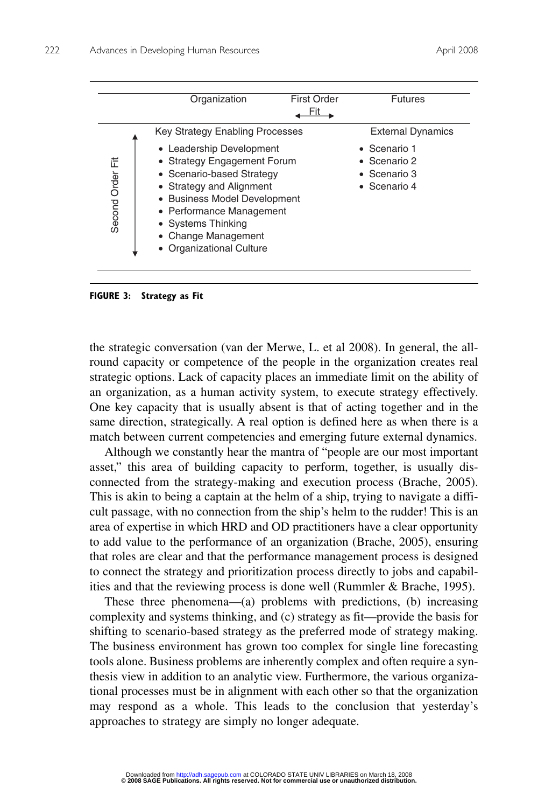|                   | Organization                                                                                                                                                                                                                                 | <b>First Order</b><br>Fit | <b>Futures</b>                                                                           |
|-------------------|----------------------------------------------------------------------------------------------------------------------------------------------------------------------------------------------------------------------------------------------|---------------------------|------------------------------------------------------------------------------------------|
| 苉<br>Second Order | <b>Key Strategy Enabling Processes</b><br>• Leadership Development<br>• Strategy Engagement Forum<br>• Scenario-based Strategy<br>• Strategy and Alignment<br>• Business Model Development<br>• Performance Management<br>• Systems Thinking |                           | <b>External Dynamics</b><br>• Scenario 1<br>• Scenario 2<br>• Scenario 3<br>• Scenario 4 |
|                   | • Change Management<br>• Organizational Culture                                                                                                                                                                                              |                           |                                                                                          |



the strategic conversation (van der Merwe, L. et al 2008). In general, the allround capacity or competence of the people in the organization creates real strategic options. Lack of capacity places an immediate limit on the ability of an organization, as a human activity system, to execute strategy effectively. One key capacity that is usually absent is that of acting together and in the same direction, strategically. A real option is defined here as when there is a match between current competencies and emerging future external dynamics.

Although we constantly hear the mantra of "people are our most important asset," this area of building capacity to perform, together, is usually disconnected from the strategy-making and execution process (Brache, 2005). This is akin to being a captain at the helm of a ship, trying to navigate a difficult passage, with no connection from the ship's helm to the rudder! This is an area of expertise in which HRD and OD practitioners have a clear opportunity to add value to the performance of an organization (Brache, 2005), ensuring that roles are clear and that the performance management process is designed to connect the strategy and prioritization process directly to jobs and capabilities and that the reviewing process is done well (Rummler & Brache, 1995).

These three phenomena—(a) problems with predictions, (b) increasing complexity and systems thinking, and (c) strategy as fit—provide the basis for shifting to scenario-based strategy as the preferred mode of strategy making. The business environment has grown too complex for single line forecasting tools alone. Business problems are inherently complex and often require a synthesis view in addition to an analytic view. Furthermore, the various organizational processes must be in alignment with each other so that the organization may respond as a whole. This leads to the conclusion that yesterday's approaches to strategy are simply no longer adequate.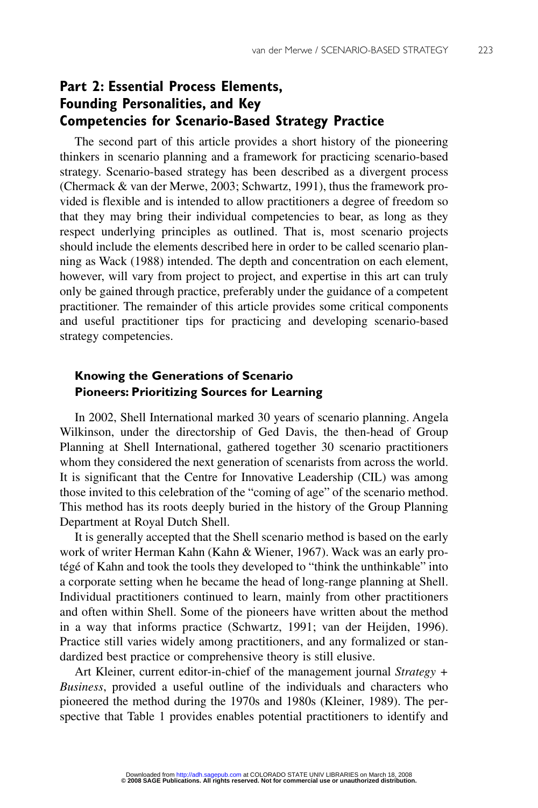# **Part 2: Essential Process Elements, Founding Personalities, and Key Competencies for Scenario-Based Strategy Practice**

The second part of this article provides a short history of the pioneering thinkers in scenario planning and a framework for practicing scenario-based strategy. Scenario-based strategy has been described as a divergent process (Chermack & van der Merwe, 2003; Schwartz, 1991), thus the framework provided is flexible and is intended to allow practitioners a degree of freedom so that they may bring their individual competencies to bear, as long as they respect underlying principles as outlined. That is, most scenario projects should include the elements described here in order to be called scenario planning as Wack (1988) intended. The depth and concentration on each element, however, will vary from project to project, and expertise in this art can truly only be gained through practice, preferably under the guidance of a competent practitioner. The remainder of this article provides some critical components and useful practitioner tips for practicing and developing scenario-based strategy competencies.

### **Knowing the Generations of Scenario Pioneers: Prioritizing Sources for Learning**

In 2002, Shell International marked 30 years of scenario planning. Angela Wilkinson, under the directorship of Ged Davis, the then-head of Group Planning at Shell International, gathered together 30 scenario practitioners whom they considered the next generation of scenarists from across the world. It is significant that the Centre for Innovative Leadership (CIL) was among those invited to this celebration of the "coming of age" of the scenario method. This method has its roots deeply buried in the history of the Group Planning Department at Royal Dutch Shell.

It is generally accepted that the Shell scenario method is based on the early work of writer Herman Kahn (Kahn & Wiener, 1967). Wack was an early protégé of Kahn and took the tools they developed to "think the unthinkable" into a corporate setting when he became the head of long-range planning at Shell. Individual practitioners continued to learn, mainly from other practitioners and often within Shell. Some of the pioneers have written about the method in a way that informs practice (Schwartz, 1991; van der Heijden, 1996). Practice still varies widely among practitioners, and any formalized or standardized best practice or comprehensive theory is still elusive.

Art Kleiner, current editor-in-chief of the management journal *Strategy + Business*, provided a useful outline of the individuals and characters who pioneered the method during the 1970s and 1980s (Kleiner, 1989). The perspective that Table 1 provides enables potential practitioners to identify and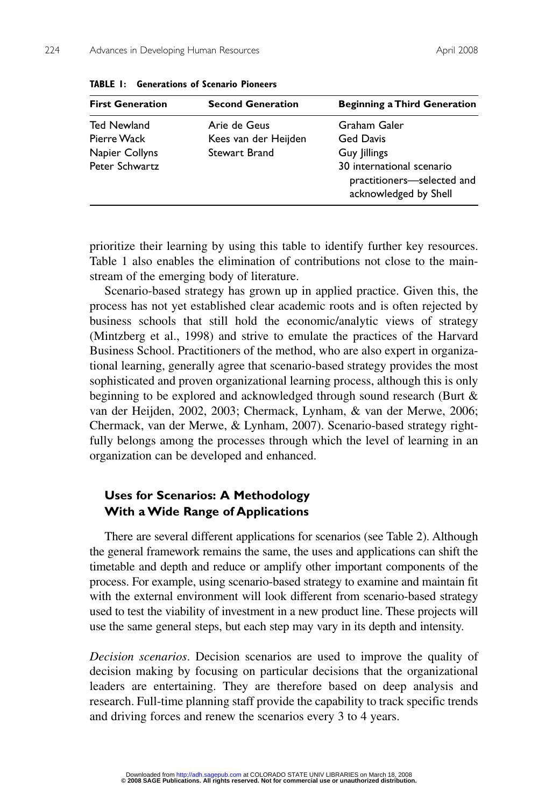| <b>First Generation</b>                                        | <b>Second Generation</b>                                     | <b>Beginning a Third Generation</b>                                                                                                  |
|----------------------------------------------------------------|--------------------------------------------------------------|--------------------------------------------------------------------------------------------------------------------------------------|
| Ted Newland<br>Pierre Wack<br>Napier Collyns<br>Peter Schwartz | Arie de Geus<br>Kees van der Heijden<br><b>Stewart Brand</b> | Graham Galer<br><b>Ged Davis</b><br>Guy lillings<br>30 international scenario<br>practitioners-selected and<br>acknowledged by Shell |

**TABLE 1: Generations of Scenario Pioneers**

prioritize their learning by using this table to identify further key resources. Table 1 also enables the elimination of contributions not close to the mainstream of the emerging body of literature.

Scenario-based strategy has grown up in applied practice. Given this, the process has not yet established clear academic roots and is often rejected by business schools that still hold the economic/analytic views of strategy (Mintzberg et al., 1998) and strive to emulate the practices of the Harvard Business School. Practitioners of the method, who are also expert in organizational learning, generally agree that scenario-based strategy provides the most sophisticated and proven organizational learning process, although this is only beginning to be explored and acknowledged through sound research (Burt & van der Heijden, 2002, 2003; Chermack, Lynham, & van der Merwe, 2006; Chermack, van der Merwe, & Lynham, 2007). Scenario-based strategy rightfully belongs among the processes through which the level of learning in an organization can be developed and enhanced.

## **Uses for Scenarios: A Methodology With a Wide Range of Applications**

There are several different applications for scenarios (see Table 2). Although the general framework remains the same, the uses and applications can shift the timetable and depth and reduce or amplify other important components of the process. For example, using scenario-based strategy to examine and maintain fit with the external environment will look different from scenario-based strategy used to test the viability of investment in a new product line. These projects will use the same general steps, but each step may vary in its depth and intensity.

*Decision scenarios*. Decision scenarios are used to improve the quality of decision making by focusing on particular decisions that the organizational leaders are entertaining. They are therefore based on deep analysis and research. Full-time planning staff provide the capability to track specific trends and driving forces and renew the scenarios every 3 to 4 years.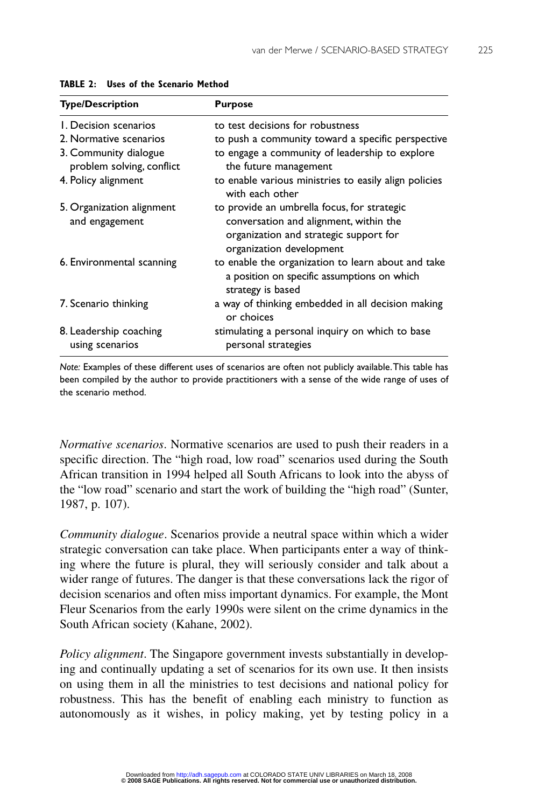| <b>Type/Description</b>                            | <b>Purpose</b>                                                                                                                                              |  |  |  |
|----------------------------------------------------|-------------------------------------------------------------------------------------------------------------------------------------------------------------|--|--|--|
| L. Decision scenarios                              | to test decisions for robustness                                                                                                                            |  |  |  |
| 2. Normative scenarios                             | to push a community toward a specific perspective                                                                                                           |  |  |  |
| 3. Community dialogue<br>problem solving, conflict | to engage a community of leadership to explore<br>the future management                                                                                     |  |  |  |
| 4. Policy alignment                                | to enable various ministries to easily align policies<br>with each other                                                                                    |  |  |  |
| 5. Organization alignment<br>and engagement        | to provide an umbrella focus, for strategic<br>conversation and alignment, within the<br>organization and strategic support for<br>organization development |  |  |  |
| 6. Environmental scanning                          | to enable the organization to learn about and take<br>a position on specific assumptions on which<br>strategy is based                                      |  |  |  |
| 7. Scenario thinking                               | a way of thinking embedded in all decision making<br>or choices                                                                                             |  |  |  |
| 8. Leadership coaching<br>using scenarios          | stimulating a personal inquiry on which to base<br>personal strategies                                                                                      |  |  |  |

#### **TABLE 2: Uses of the Scenario Method**

*Note:* Examples of these different uses of scenarios are often not publicly available.This table has been compiled by the author to provide practitioners with a sense of the wide range of uses of the scenario method.

*Normative scenarios*. Normative scenarios are used to push their readers in a specific direction. The "high road, low road" scenarios used during the South African transition in 1994 helped all South Africans to look into the abyss of the "low road" scenario and start the work of building the "high road" (Sunter, 1987, p. 107).

*Community dialogue*. Scenarios provide a neutral space within which a wider strategic conversation can take place. When participants enter a way of thinking where the future is plural, they will seriously consider and talk about a wider range of futures. The danger is that these conversations lack the rigor of decision scenarios and often miss important dynamics. For example, the Mont Fleur Scenarios from the early 1990s were silent on the crime dynamics in the South African society (Kahane, 2002).

*Policy alignment*. The Singapore government invests substantially in developing and continually updating a set of scenarios for its own use. It then insists on using them in all the ministries to test decisions and national policy for robustness. This has the benefit of enabling each ministry to function as autonomously as it wishes, in policy making, yet by testing policy in a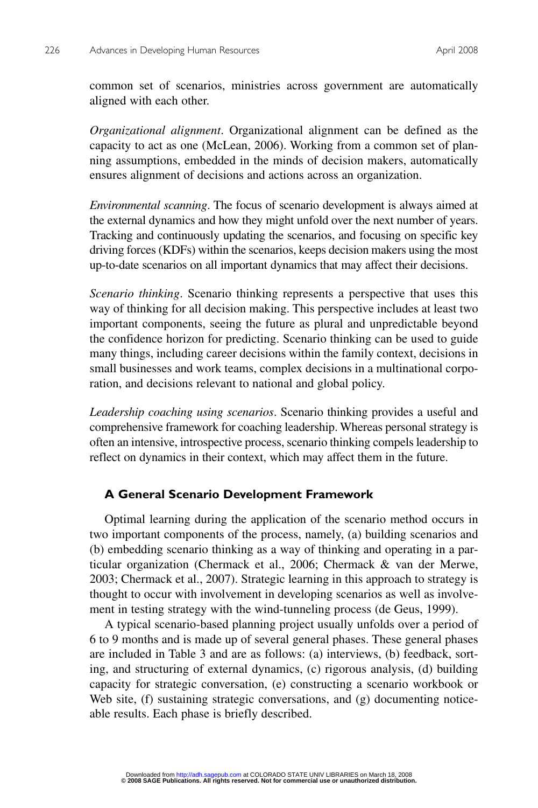common set of scenarios, ministries across government are automatically aligned with each other.

*Organizational alignment*. Organizational alignment can be defined as the capacity to act as one (McLean, 2006). Working from a common set of planning assumptions, embedded in the minds of decision makers, automatically ensures alignment of decisions and actions across an organization.

*Environmental scanning*. The focus of scenario development is always aimed at the external dynamics and how they might unfold over the next number of years. Tracking and continuously updating the scenarios, and focusing on specific key driving forces (KDFs) within the scenarios, keeps decision makers using the most up-to-date scenarios on all important dynamics that may affect their decisions.

*Scenario thinking*. Scenario thinking represents a perspective that uses this way of thinking for all decision making. This perspective includes at least two important components, seeing the future as plural and unpredictable beyond the confidence horizon for predicting. Scenario thinking can be used to guide many things, including career decisions within the family context, decisions in small businesses and work teams, complex decisions in a multinational corporation, and decisions relevant to national and global policy.

*Leadership coaching using scenarios*. Scenario thinking provides a useful and comprehensive framework for coaching leadership. Whereas personal strategy is often an intensive, introspective process, scenario thinking compels leadership to reflect on dynamics in their context, which may affect them in the future.

### **A General Scenario Development Framework**

Optimal learning during the application of the scenario method occurs in two important components of the process, namely, (a) building scenarios and (b) embedding scenario thinking as a way of thinking and operating in a particular organization (Chermack et al., 2006; Chermack & van der Merwe, 2003; Chermack et al., 2007). Strategic learning in this approach to strategy is thought to occur with involvement in developing scenarios as well as involvement in testing strategy with the wind-tunneling process (de Geus, 1999).

A typical scenario-based planning project usually unfolds over a period of 6 to 9 months and is made up of several general phases. These general phases are included in Table 3 and are as follows: (a) interviews, (b) feedback, sorting, and structuring of external dynamics, (c) rigorous analysis, (d) building capacity for strategic conversation, (e) constructing a scenario workbook or Web site,  $(f)$  sustaining strategic conversations, and  $(g)$  documenting noticeable results. Each phase is briefly described.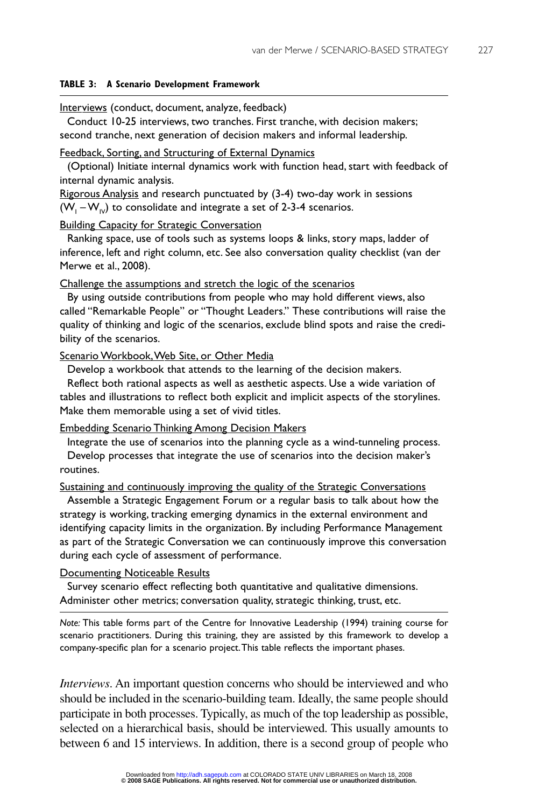#### **TABLE 3: A Scenario Development Framework**

Interviews (conduct, document, analyze, feedback)

Conduct 10-25 interviews, two tranches. First tranche, with decision makers; second tranche, next generation of decision makers and informal leadership.

Feedback, Sorting, and Structuring of External Dynamics

(Optional) Initiate internal dynamics work with function head, start with feedback of internal dynamic analysis.

Rigorous Analysis and research punctuated by (3-4) two-day work in sessions  $(W_1 - W_1)$  to consolidate and integrate a set of 2-3-4 scenarios.

Building Capacity for Strategic Conversation

Ranking space, use of tools such as systems loops & links, story maps, ladder of inference, left and right column, etc. See also conversation quality checklist (van der Merwe et al., 2008).

Challenge the assumptions and stretch the logic of the scenarios

By using outside contributions from people who may hold different views, also called "Remarkable People" or "Thought Leaders." These contributions will raise the quality of thinking and logic of the scenarios, exclude blind spots and raise the credibility of the scenarios.

Scenario Workbook,Web Site, or Other Media

Develop a workbook that attends to the learning of the decision makers.

Reflect both rational aspects as well as aesthetic aspects. Use a wide variation of tables and illustrations to reflect both explicit and implicit aspects of the storylines. Make them memorable using a set of vivid titles.

Embedding Scenario Thinking Among Decision Makers

Integrate the use of scenarios into the planning cycle as a wind-tunneling process. Develop processes that integrate the use of scenarios into the decision maker's routines.

Sustaining and continuously improving the quality of the Strategic Conversations

Assemble a Strategic Engagement Forum or a regular basis to talk about how the strategy is working, tracking emerging dynamics in the external environment and identifying capacity limits in the organization. By including Performance Management as part of the Strategic Conversation we can continuously improve this conversation during each cycle of assessment of performance.

#### Documenting Noticeable Results

Survey scenario effect reflecting both quantitative and qualitative dimensions. Administer other metrics; conversation quality, strategic thinking, trust, etc.

*Note:* This table forms part of the Centre for Innovative Leadership (1994) training course for scenario practitioners. During this training, they are assisted by this framework to develop a company-specific plan for a scenario project.This table reflects the important phases.

*Interviews*. An important question concerns who should be interviewed and who should be included in the scenario-building team. Ideally, the same people should participate in both processes. Typically, as much of the top leadership as possible, selected on a hierarchical basis, should be interviewed. This usually amounts to between 6 and 15 interviews. In addition, there is a second group of people who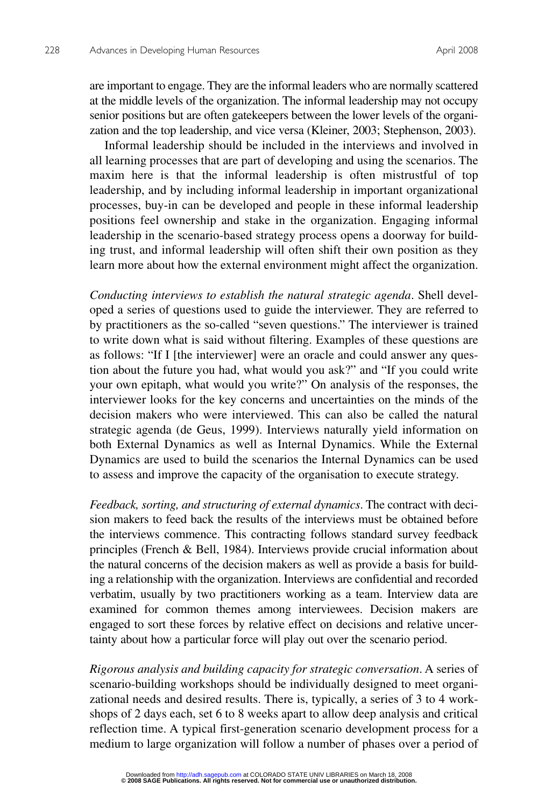are important to engage. They are the informal leaders who are normally scattered at the middle levels of the organization. The informal leadership may not occupy senior positions but are often gatekeepers between the lower levels of the organization and the top leadership, and vice versa (Kleiner, 2003; Stephenson, 2003).

Informal leadership should be included in the interviews and involved in all learning processes that are part of developing and using the scenarios. The maxim here is that the informal leadership is often mistrustful of top leadership, and by including informal leadership in important organizational processes, buy-in can be developed and people in these informal leadership positions feel ownership and stake in the organization. Engaging informal leadership in the scenario-based strategy process opens a doorway for building trust, and informal leadership will often shift their own position as they learn more about how the external environment might affect the organization.

*Conducting interviews to establish the natural strategic agenda*. Shell developed a series of questions used to guide the interviewer. They are referred to by practitioners as the so-called "seven questions." The interviewer is trained to write down what is said without filtering. Examples of these questions are as follows: "If I [the interviewer] were an oracle and could answer any question about the future you had, what would you ask?" and "If you could write your own epitaph, what would you write?" On analysis of the responses, the interviewer looks for the key concerns and uncertainties on the minds of the decision makers who were interviewed. This can also be called the natural strategic agenda (de Geus, 1999). Interviews naturally yield information on both External Dynamics as well as Internal Dynamics. While the External Dynamics are used to build the scenarios the Internal Dynamics can be used to assess and improve the capacity of the organisation to execute strategy.

*Feedback, sorting, and structuring of external dynamics*. The contract with decision makers to feed back the results of the interviews must be obtained before the interviews commence. This contracting follows standard survey feedback principles (French & Bell, 1984). Interviews provide crucial information about the natural concerns of the decision makers as well as provide a basis for building a relationship with the organization. Interviews are confidential and recorded verbatim, usually by two practitioners working as a team. Interview data are examined for common themes among interviewees. Decision makers are engaged to sort these forces by relative effect on decisions and relative uncertainty about how a particular force will play out over the scenario period.

*Rigorous analysis and building capacity for strategic conversation*. A series of scenario-building workshops should be individually designed to meet organizational needs and desired results. There is, typically, a series of 3 to 4 workshops of 2 days each, set 6 to 8 weeks apart to allow deep analysis and critical reflection time. A typical first-generation scenario development process for a medium to large organization will follow a number of phases over a period of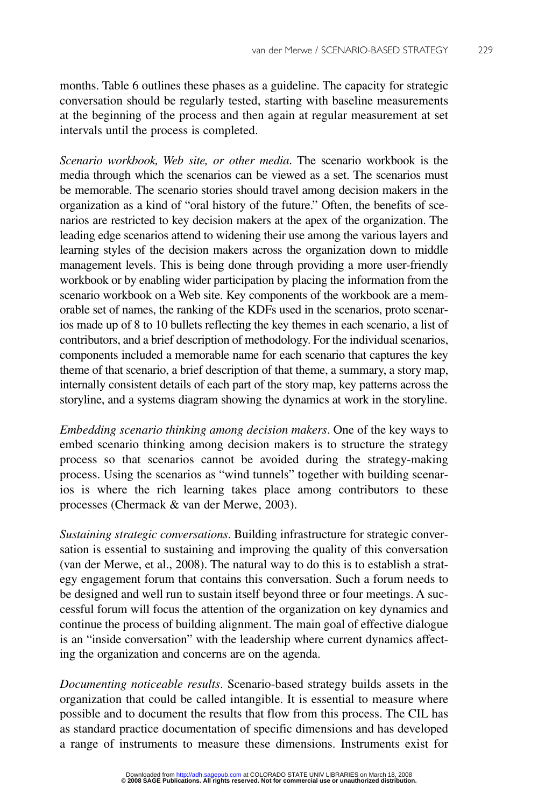months. Table 6 outlines these phases as a guideline. The capacity for strategic conversation should be regularly tested, starting with baseline measurements at the beginning of the process and then again at regular measurement at set intervals until the process is completed.

*Scenario workbook, Web site, or other media*. The scenario workbook is the media through which the scenarios can be viewed as a set. The scenarios must be memorable. The scenario stories should travel among decision makers in the organization as a kind of "oral history of the future." Often, the benefits of scenarios are restricted to key decision makers at the apex of the organization. The leading edge scenarios attend to widening their use among the various layers and learning styles of the decision makers across the organization down to middle management levels. This is being done through providing a more user-friendly workbook or by enabling wider participation by placing the information from the scenario workbook on a Web site. Key components of the workbook are a memorable set of names, the ranking of the KDFs used in the scenarios, proto scenarios made up of 8 to 10 bullets reflecting the key themes in each scenario, a list of contributors, and a brief description of methodology. For the individual scenarios, components included a memorable name for each scenario that captures the key theme of that scenario, a brief description of that theme, a summary, a story map, internally consistent details of each part of the story map, key patterns across the storyline, and a systems diagram showing the dynamics at work in the storyline.

*Embedding scenario thinking among decision makers*. One of the key ways to embed scenario thinking among decision makers is to structure the strategy process so that scenarios cannot be avoided during the strategy-making process. Using the scenarios as "wind tunnels" together with building scenarios is where the rich learning takes place among contributors to these processes (Chermack & van der Merwe, 2003).

*Sustaining strategic conversations*. Building infrastructure for strategic conversation is essential to sustaining and improving the quality of this conversation (van der Merwe, et al., 2008). The natural way to do this is to establish a strategy engagement forum that contains this conversation. Such a forum needs to be designed and well run to sustain itself beyond three or four meetings. A successful forum will focus the attention of the organization on key dynamics and continue the process of building alignment. The main goal of effective dialogue is an "inside conversation" with the leadership where current dynamics affecting the organization and concerns are on the agenda.

*Documenting noticeable results*. Scenario-based strategy builds assets in the organization that could be called intangible. It is essential to measure where possible and to document the results that flow from this process. The CIL has as standard practice documentation of specific dimensions and has developed a range of instruments to measure these dimensions. Instruments exist for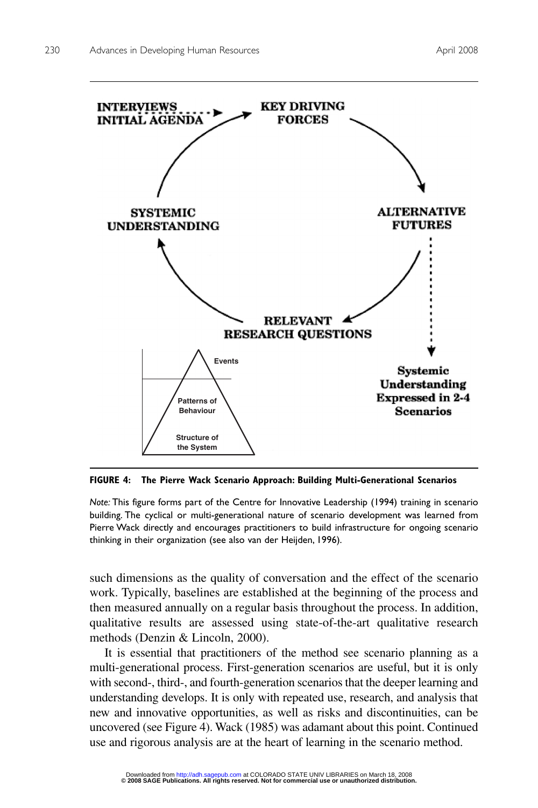

**FIGURE 4: The Pierre Wack Scenario Approach: Building Multi-Generational Scenarios**

*Note:* This figure forms part of the Centre for Innovative Leadership (1994) training in scenario building. The cyclical or multi-generational nature of scenario development was learned from Pierre Wack directly and encourages practitioners to build infrastructure for ongoing scenario thinking in their organization (see also van der Heijden, 1996).

such dimensions as the quality of conversation and the effect of the scenario work. Typically, baselines are established at the beginning of the process and then measured annually on a regular basis throughout the process. In addition, qualitative results are assessed using state-of-the-art qualitative research methods (Denzin & Lincoln, 2000).

It is essential that practitioners of the method see scenario planning as a multi-generational process. First-generation scenarios are useful, but it is only with second-, third-, and fourth-generation scenarios that the deeper learning and understanding develops. It is only with repeated use, research, and analysis that new and innovative opportunities, as well as risks and discontinuities, can be uncovered (see Figure 4). Wack (1985) was adamant about this point. Continued use and rigorous analysis are at the heart of learning in the scenario method.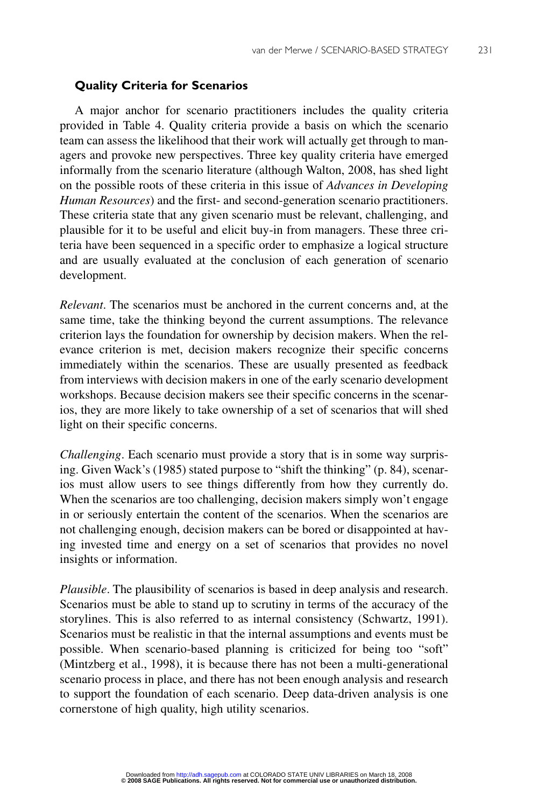#### **Quality Criteria for Scenarios**

A major anchor for scenario practitioners includes the quality criteria provided in Table 4. Quality criteria provide a basis on which the scenario team can assess the likelihood that their work will actually get through to managers and provoke new perspectives. Three key quality criteria have emerged informally from the scenario literature (although Walton, 2008, has shed light on the possible roots of these criteria in this issue of *Advances in Developing Human Resources*) and the first- and second-generation scenario practitioners. These criteria state that any given scenario must be relevant, challenging, and plausible for it to be useful and elicit buy-in from managers. These three criteria have been sequenced in a specific order to emphasize a logical structure and are usually evaluated at the conclusion of each generation of scenario development.

*Relevant*. The scenarios must be anchored in the current concerns and, at the same time, take the thinking beyond the current assumptions. The relevance criterion lays the foundation for ownership by decision makers. When the relevance criterion is met, decision makers recognize their specific concerns immediately within the scenarios. These are usually presented as feedback from interviews with decision makers in one of the early scenario development workshops. Because decision makers see their specific concerns in the scenarios, they are more likely to take ownership of a set of scenarios that will shed light on their specific concerns.

*Challenging*. Each scenario must provide a story that is in some way surprising. Given Wack's (1985) stated purpose to "shift the thinking" (p. 84), scenarios must allow users to see things differently from how they currently do. When the scenarios are too challenging, decision makers simply won't engage in or seriously entertain the content of the scenarios. When the scenarios are not challenging enough, decision makers can be bored or disappointed at having invested time and energy on a set of scenarios that provides no novel insights or information.

*Plausible*. The plausibility of scenarios is based in deep analysis and research. Scenarios must be able to stand up to scrutiny in terms of the accuracy of the storylines. This is also referred to as internal consistency (Schwartz, 1991). Scenarios must be realistic in that the internal assumptions and events must be possible. When scenario-based planning is criticized for being too "soft" (Mintzberg et al., 1998), it is because there has not been a multi-generational scenario process in place, and there has not been enough analysis and research to support the foundation of each scenario. Deep data-driven analysis is one cornerstone of high quality, high utility scenarios.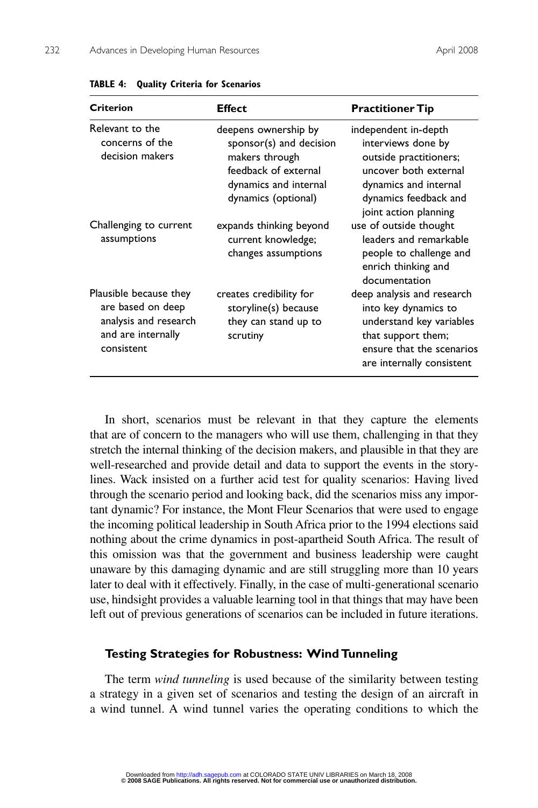| Criterion                                                                                                | <b>Effect</b>                                                                                                                             | <b>Practitioner Tip</b>                                                                                                                                                  |  |
|----------------------------------------------------------------------------------------------------------|-------------------------------------------------------------------------------------------------------------------------------------------|--------------------------------------------------------------------------------------------------------------------------------------------------------------------------|--|
| Relevant to the<br>concerns of the<br>decision makers                                                    | deepens ownership by<br>sponsor(s) and decision<br>makers through<br>feedback of external<br>dynamics and internal<br>dynamics (optional) | independent in-depth<br>interviews done by<br>outside practitioners;<br>uncover both external<br>dynamics and internal<br>dynamics feedback and<br>joint action planning |  |
| Challenging to current<br>assumptions                                                                    | expands thinking beyond<br>current knowledge;<br>changes assumptions                                                                      | use of outside thought<br>leaders and remarkable<br>people to challenge and<br>enrich thinking and<br>documentation                                                      |  |
| Plausible because they<br>are based on deep<br>analysis and research<br>and are internally<br>consistent | creates credibility for<br>storyline(s) because<br>they can stand up to<br>scrutiny                                                       | deep analysis and research<br>into key dynamics to<br>understand key variables<br>that support them;<br>ensure that the scenarios<br>are internally consistent           |  |

**TABLE 4: Quality Criteria for Scenarios**

In short, scenarios must be relevant in that they capture the elements that are of concern to the managers who will use them, challenging in that they stretch the internal thinking of the decision makers, and plausible in that they are well-researched and provide detail and data to support the events in the storylines. Wack insisted on a further acid test for quality scenarios: Having lived through the scenario period and looking back, did the scenarios miss any important dynamic? For instance, the Mont Fleur Scenarios that were used to engage the incoming political leadership in South Africa prior to the 1994 elections said nothing about the crime dynamics in post-apartheid South Africa. The result of this omission was that the government and business leadership were caught unaware by this damaging dynamic and are still struggling more than 10 years later to deal with it effectively. Finally, in the case of multi-generational scenario use, hindsight provides a valuable learning tool in that things that may have been left out of previous generations of scenarios can be included in future iterations.

### **Testing Strategies for Robustness: Wind Tunneling**

The term *wind tunneling* is used because of the similarity between testing a strategy in a given set of scenarios and testing the design of an aircraft in a wind tunnel. A wind tunnel varies the operating conditions to which the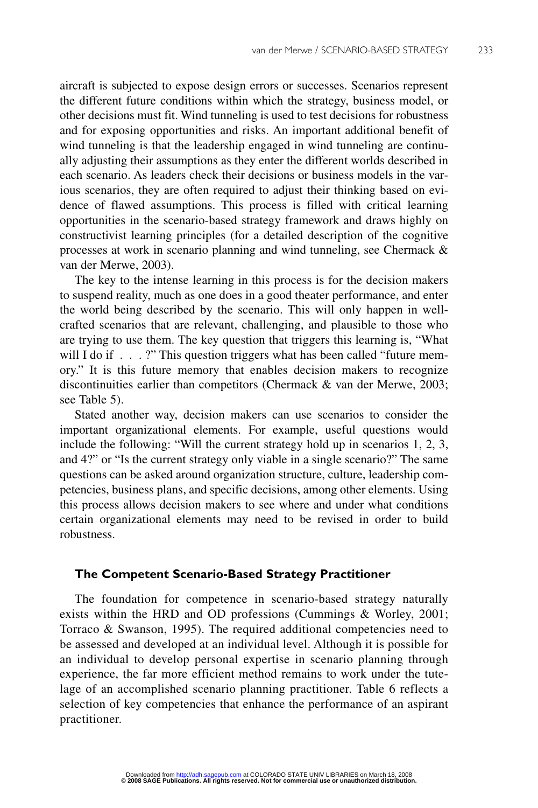aircraft is subjected to expose design errors or successes. Scenarios represent the different future conditions within which the strategy, business model, or other decisions must fit. Wind tunneling is used to test decisions for robustness and for exposing opportunities and risks. An important additional benefit of wind tunneling is that the leadership engaged in wind tunneling are continually adjusting their assumptions as they enter the different worlds described in each scenario. As leaders check their decisions or business models in the various scenarios, they are often required to adjust their thinking based on evidence of flawed assumptions. This process is filled with critical learning opportunities in the scenario-based strategy framework and draws highly on constructivist learning principles (for a detailed description of the cognitive processes at work in scenario planning and wind tunneling, see Chermack & van der Merwe, 2003).

The key to the intense learning in this process is for the decision makers to suspend reality, much as one does in a good theater performance, and enter the world being described by the scenario. This will only happen in wellcrafted scenarios that are relevant, challenging, and plausible to those who are trying to use them. The key question that triggers this learning is, "What will I do if . . . ?" This question triggers what has been called "future memory." It is this future memory that enables decision makers to recognize discontinuities earlier than competitors (Chermack & van der Merwe, 2003; see Table 5).

Stated another way, decision makers can use scenarios to consider the important organizational elements. For example, useful questions would include the following: "Will the current strategy hold up in scenarios 1, 2, 3, and 4?" or "Is the current strategy only viable in a single scenario?" The same questions can be asked around organization structure, culture, leadership competencies, business plans, and specific decisions, among other elements. Using this process allows decision makers to see where and under what conditions certain organizational elements may need to be revised in order to build robustness.

#### **The Competent Scenario-Based Strategy Practitioner**

The foundation for competence in scenario-based strategy naturally exists within the HRD and OD professions (Cummings & Worley, 2001; Torraco & Swanson, 1995). The required additional competencies need to be assessed and developed at an individual level. Although it is possible for an individual to develop personal expertise in scenario planning through experience, the far more efficient method remains to work under the tutelage of an accomplished scenario planning practitioner. Table 6 reflects a selection of key competencies that enhance the performance of an aspirant practitioner.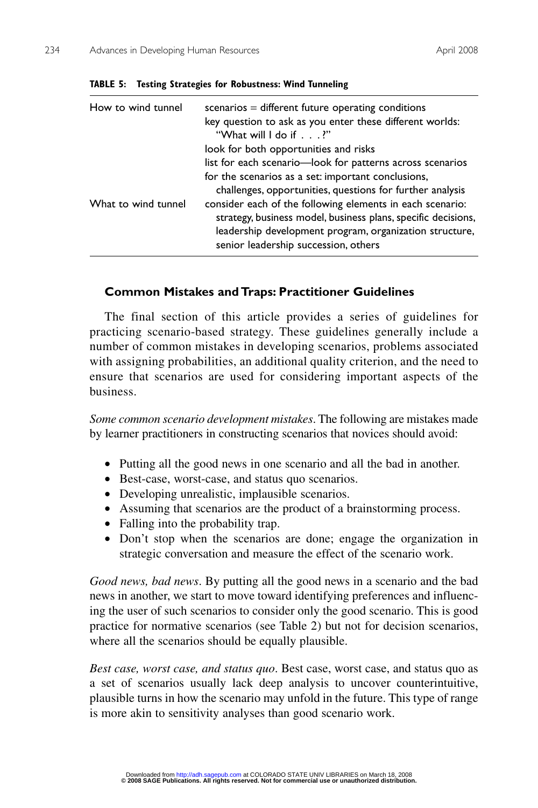| How to wind tunnel  | $scenarios = different future operating conditions$<br>key question to ask as you enter these different worlds:<br>"What will I do if?"<br>look for both opportunities and risks                                                                                                                                                                                                                              |
|---------------------|---------------------------------------------------------------------------------------------------------------------------------------------------------------------------------------------------------------------------------------------------------------------------------------------------------------------------------------------------------------------------------------------------------------|
| What to wind tunnel | list for each scenario-look for patterns across scenarios<br>for the scenarios as a set: important conclusions,<br>challenges, opportunities, questions for further analysis<br>consider each of the following elements in each scenario:<br>strategy, business model, business plans, specific decisions,<br>leadership development program, organization structure,<br>senior leadership succession, others |

**TABLE 5: Testing Strategies for Robustness: Wind Tunneling**

### **Common Mistakes and Traps: Practitioner Guidelines**

The final section of this article provides a series of guidelines for practicing scenario-based strategy. These guidelines generally include a number of common mistakes in developing scenarios, problems associated with assigning probabilities, an additional quality criterion, and the need to ensure that scenarios are used for considering important aspects of the business.

*Some common scenario development mistakes*. The following are mistakes made by learner practitioners in constructing scenarios that novices should avoid:

- Putting all the good news in one scenario and all the bad in another.
- Best-case, worst-case, and status quo scenarios.
- Developing unrealistic, implausible scenarios.
- Assuming that scenarios are the product of a brainstorming process.
- Falling into the probability trap.
- Don't stop when the scenarios are done; engage the organization in strategic conversation and measure the effect of the scenario work.

*Good news, bad news*. By putting all the good news in a scenario and the bad news in another, we start to move toward identifying preferences and influencing the user of such scenarios to consider only the good scenario. This is good practice for normative scenarios (see Table 2) but not for decision scenarios, where all the scenarios should be equally plausible.

*Best case, worst case, and status quo*. Best case, worst case, and status quo as a set of scenarios usually lack deep analysis to uncover counterintuitive, plausible turns in how the scenario may unfold in the future. This type of range is more akin to sensitivity analyses than good scenario work.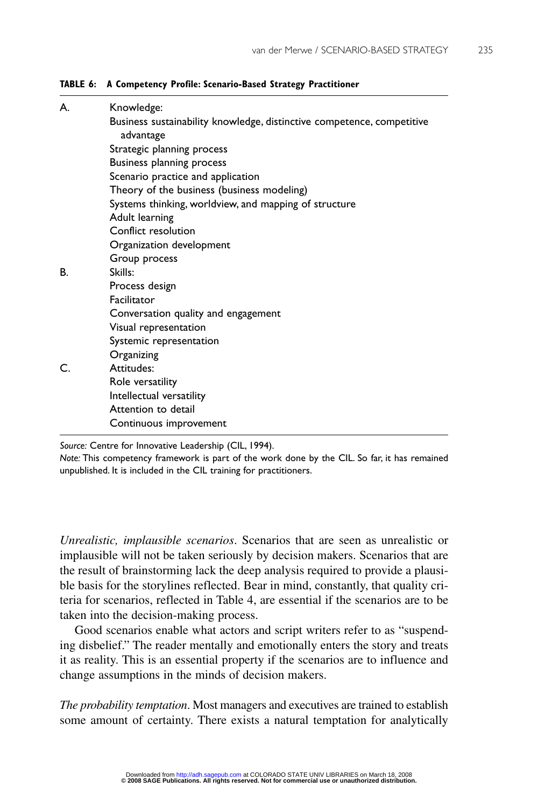|  |  |  |  | TABLE 6: A Competency Profile: Scenario-Based Strategy Practitioner |  |  |
|--|--|--|--|---------------------------------------------------------------------|--|--|
|--|--|--|--|---------------------------------------------------------------------|--|--|

| А. | Knowledge:                                                                          |  |  |  |
|----|-------------------------------------------------------------------------------------|--|--|--|
|    | Business sustainability knowledge, distinctive competence, competitive<br>advantage |  |  |  |
|    | Strategic planning process                                                          |  |  |  |
|    | Business planning process                                                           |  |  |  |
|    | Scenario practice and application                                                   |  |  |  |
|    | Theory of the business (business modeling)                                          |  |  |  |
|    | Systems thinking, worldview, and mapping of structure                               |  |  |  |
|    | Adult learning                                                                      |  |  |  |
|    | Conflict resolution                                                                 |  |  |  |
|    | Organization development                                                            |  |  |  |
|    | Group process                                                                       |  |  |  |
| В. | Skills:                                                                             |  |  |  |
|    | Process design                                                                      |  |  |  |
|    | Facilitator                                                                         |  |  |  |
|    | Conversation quality and engagement                                                 |  |  |  |
|    | Visual representation                                                               |  |  |  |
|    | Systemic representation                                                             |  |  |  |
|    | Organizing                                                                          |  |  |  |
| C  | Attitudes:                                                                          |  |  |  |
|    | Role versatility                                                                    |  |  |  |
|    | Intellectual versatility                                                            |  |  |  |
|    | Attention to detail                                                                 |  |  |  |
|    | Continuous improvement                                                              |  |  |  |

*Source:* Centre for Innovative Leadership (CIL, 1994).

*Note:* This competency framework is part of the work done by the CIL. So far, it has remained unpublished. It is included in the CIL training for practitioners.

*Unrealistic, implausible scenarios*. Scenarios that are seen as unrealistic or implausible will not be taken seriously by decision makers. Scenarios that are the result of brainstorming lack the deep analysis required to provide a plausible basis for the storylines reflected. Bear in mind, constantly, that quality criteria for scenarios, reflected in Table 4, are essential if the scenarios are to be taken into the decision-making process.

Good scenarios enable what actors and script writers refer to as "suspending disbelief." The reader mentally and emotionally enters the story and treats it as reality. This is an essential property if the scenarios are to influence and change assumptions in the minds of decision makers.

*The probability temptation*. Most managers and executives are trained to establish some amount of certainty. There exists a natural temptation for analytically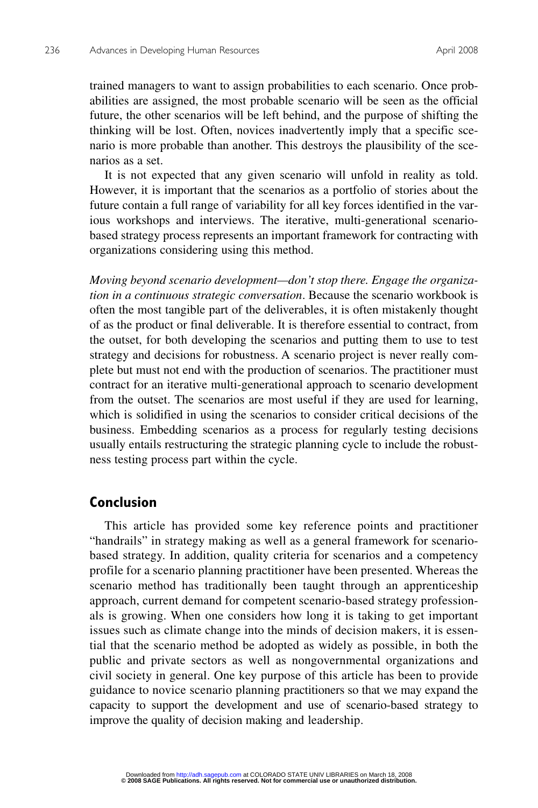trained managers to want to assign probabilities to each scenario. Once probabilities are assigned, the most probable scenario will be seen as the official future, the other scenarios will be left behind, and the purpose of shifting the thinking will be lost. Often, novices inadvertently imply that a specific scenario is more probable than another. This destroys the plausibility of the scenarios as a set.

It is not expected that any given scenario will unfold in reality as told. However, it is important that the scenarios as a portfolio of stories about the future contain a full range of variability for all key forces identified in the various workshops and interviews. The iterative, multi-generational scenariobased strategy process represents an important framework for contracting with organizations considering using this method.

*Moving beyond scenario development—don't stop there. Engage the organization in a continuous strategic conversation*. Because the scenario workbook is often the most tangible part of the deliverables, it is often mistakenly thought of as the product or final deliverable. It is therefore essential to contract, from the outset, for both developing the scenarios and putting them to use to test strategy and decisions for robustness. A scenario project is never really complete but must not end with the production of scenarios. The practitioner must contract for an iterative multi-generational approach to scenario development from the outset. The scenarios are most useful if they are used for learning, which is solidified in using the scenarios to consider critical decisions of the business. Embedding scenarios as a process for regularly testing decisions usually entails restructuring the strategic planning cycle to include the robustness testing process part within the cycle.

# **Conclusion**

This article has provided some key reference points and practitioner "handrails" in strategy making as well as a general framework for scenariobased strategy. In addition, quality criteria for scenarios and a competency profile for a scenario planning practitioner have been presented. Whereas the scenario method has traditionally been taught through an apprenticeship approach, current demand for competent scenario-based strategy professionals is growing. When one considers how long it is taking to get important issues such as climate change into the minds of decision makers, it is essential that the scenario method be adopted as widely as possible, in both the public and private sectors as well as nongovernmental organizations and civil society in general. One key purpose of this article has been to provide guidance to novice scenario planning practitioners so that we may expand the capacity to support the development and use of scenario-based strategy to improve the quality of decision making and leadership.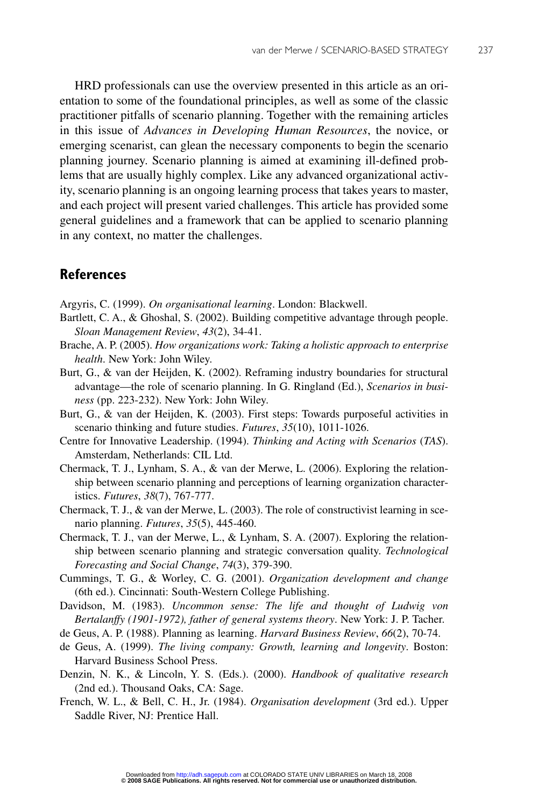HRD professionals can use the overview presented in this article as an orientation to some of the foundational principles, as well as some of the classic practitioner pitfalls of scenario planning. Together with the remaining articles in this issue of *Advances in Developing Human Resources*, the novice, or emerging scenarist, can glean the necessary components to begin the scenario planning journey. Scenario planning is aimed at examining ill-defined problems that are usually highly complex. Like any advanced organizational activity, scenario planning is an ongoing learning process that takes years to master, and each project will present varied challenges. This article has provided some general guidelines and a framework that can be applied to scenario planning in any context, no matter the challenges.

# **References**

- Argyris, C. (1999). *On organisational learning*. London: Blackwell.
- Bartlett, C. A., & Ghoshal, S. (2002). Building competitive advantage through people. *Sloan Management Review*, *43*(2), 34-41.
- Brache, A. P. (2005). *How organizations work: Taking a holistic approach to enterprise health*. New York: John Wiley.
- Burt, G., & van der Heijden, K. (2002). Reframing industry boundaries for structural advantage—the role of scenario planning. In G. Ringland (Ed.), *Scenarios in business* (pp. 223-232). New York: John Wiley.
- Burt, G., & van der Heijden, K. (2003). First steps: Towards purposeful activities in scenario thinking and future studies. *Futures*, *35*(10), 1011-1026.
- Centre for Innovative Leadership. (1994). *Thinking and Acting with Scenarios* (*TAS*). Amsterdam, Netherlands: CIL Ltd.
- Chermack, T. J., Lynham, S. A., & van der Merwe, L. (2006). Exploring the relationship between scenario planning and perceptions of learning organization characteristics. *Futures*, *38*(7), 767-777.
- Chermack, T. J., & van der Merwe, L. (2003). The role of constructivist learning in scenario planning. *Futures*, *35*(5), 445-460.
- Chermack, T. J., van der Merwe, L., & Lynham, S. A. (2007). Exploring the relationship between scenario planning and strategic conversation quality. *Technological Forecasting and Social Change*, *74*(3), 379-390.
- Cummings, T. G., & Worley, C. G. (2001). *Organization development and change* (6th ed.). Cincinnati: South-Western College Publishing.
- Davidson, M. (1983). *Uncommon sense: The life and thought of Ludwig von Bertalanffy (1901-1972), father of general systems theory*. New York: J. P. Tacher.
- de Geus, A. P. (1988). Planning as learning. *Harvard Business Review*, *66*(2), 70-74.
- de Geus, A. (1999). *The living company: Growth, learning and longevity*. Boston: Harvard Business School Press.
- Denzin, N. K., & Lincoln, Y. S. (Eds.). (2000). *Handbook of qualitative research* (2nd ed.). Thousand Oaks, CA: Sage.
- French, W. L., & Bell, C. H., Jr. (1984). *Organisation development* (3rd ed.). Upper Saddle River, NJ: Prentice Hall.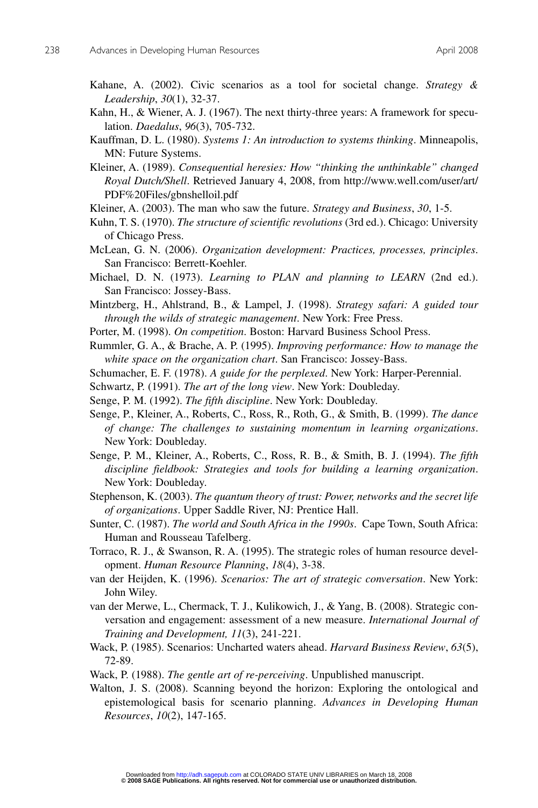- Kahane, A. (2002). Civic scenarios as a tool for societal change. *Strategy & Leadership*, *30*(1), 32-37.
- Kahn, H., & Wiener, A. J. (1967). The next thirty-three years: A framework for speculation. *Daedalus*, *96*(3), 705-732.
- Kauffman, D. L. (1980). *Systems 1: An introduction to systems thinking*. Minneapolis, MN: Future Systems.
- Kleiner, A. (1989). *Consequential heresies: How "thinking the unthinkable" changed Royal Dutch/Shell*. Retrieved January 4, 2008, from http://www.well.com/user/art/ PDF%20Files/gbnshelloil.pdf
- Kleiner, A. (2003). The man who saw the future. *Strategy and Business*, *30*, 1-5.
- Kuhn, T. S. (1970). *The structure of scientific revolutions* (3rd ed.). Chicago: University of Chicago Press.
- McLean, G. N. (2006). *Organization development: Practices, processes, principles*. San Francisco: Berrett-Koehler.
- Michael, D. N. (1973). *Learning to PLAN and planning to LEARN* (2nd ed.). San Francisco: Jossey-Bass.
- Mintzberg, H., Ahlstrand, B., & Lampel, J. (1998). *Strategy safari: A guided tour through the wilds of strategic management*. New York: Free Press.
- Porter, M. (1998). *On competition*. Boston: Harvard Business School Press.
- Rummler, G. A., & Brache, A. P. (1995). *Improving performance: How to manage the white space on the organization chart*. San Francisco: Jossey-Bass.
- Schumacher, E. F. (1978). *A guide for the perplexed*. New York: Harper-Perennial.
- Schwartz, P. (1991). *The art of the long view*. New York: Doubleday.
- Senge, P. M. (1992). *The fifth discipline*. New York: Doubleday.
- Senge, P., Kleiner, A., Roberts, C., Ross, R., Roth, G., & Smith, B. (1999). *The dance of change: The challenges to sustaining momentum in learning organizations*. New York: Doubleday.
- Senge, P. M., Kleiner, A., Roberts, C., Ross, R. B., & Smith, B. J. (1994). *The fifth discipline fieldbook: Strategies and tools for building a learning organization*. New York: Doubleday.
- Stephenson, K. (2003). *The quantum theory of trust: Power, networks and the secret life of organizations*. Upper Saddle River, NJ: Prentice Hall.
- Sunter, C. (1987). *The world and South Africa in the 1990s*. Cape Town, South Africa: Human and Rousseau Tafelberg.
- Torraco, R. J., & Swanson, R. A. (1995). The strategic roles of human resource development. *Human Resource Planning*, *18*(4), 3-38.
- van der Heijden, K. (1996). *Scenarios: The art of strategic conversation*. New York: John Wiley.
- van der Merwe, L., Chermack, T. J., Kulikowich, J., & Yang, B. (2008). Strategic conversation and engagement: assessment of a new measure. *International Journal of Training and Development, 11*(3), 241-221.
- Wack, P. (1985). Scenarios: Uncharted waters ahead. *Harvard Business Review*, *63*(5), 72-89.
- Wack, P. (1988). *The gentle art of re-perceiving*. Unpublished manuscript.
- Walton, J. S. (2008). Scanning beyond the horizon: Exploring the ontological and epistemological basis for scenario planning. *Advances in Developing Human Resources*, *10*(2), 147-165.